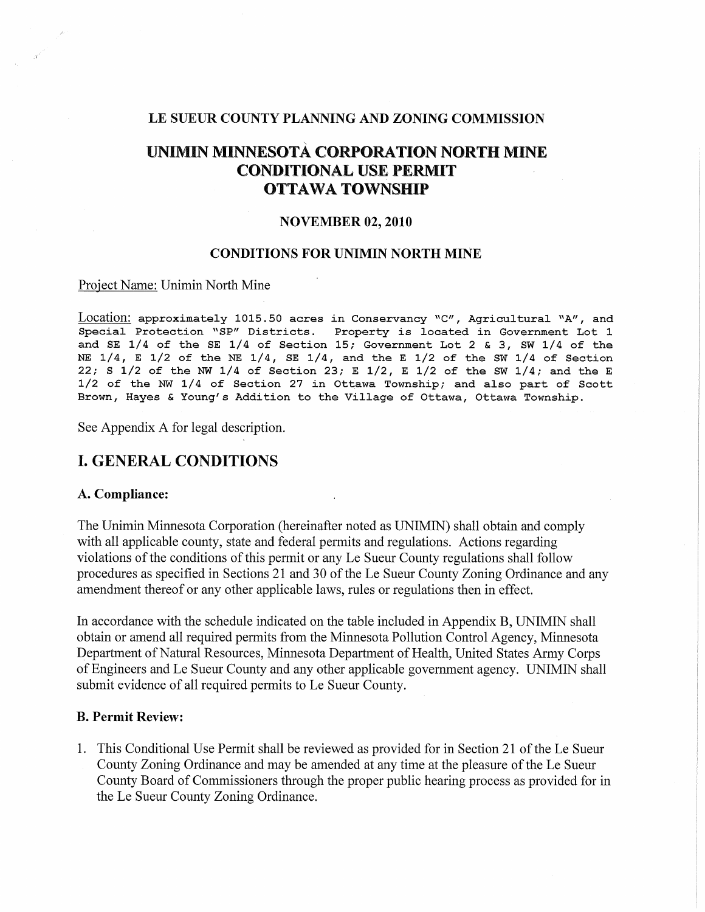#### LE SUEUR COUNTY PLANNING AND ZONING COMMISSION

## UNIMIN MINNESOTA CORPORATION NORTH MINE CONDITIONAL USE PERMIT OTTAWA TOWNSHIP

#### NOVEMBER 02, 2010

#### CONDITIONS FOR UNIMIN NORTH MINE

#### Project Name: Unimin North Mine

Location: approximately 1015.50 acres in Conservancy "C", Agricultural "A", and Special Protection "SP" Districts. Property *is* located *in* Government Lot 1 and SE 1/4 of the SE 1/4 of Section 15; Government Lot 2 & 3, SW 1/4 of the NE 1/4, E 1/2 of the NE 1/4, SE 1/4, and the E 1/2 of the SW 1/4 of Section 22; S  $1/2$  of the NW  $1/4$  of Section 23; E  $1/2$ , E  $1/2$  of the SW  $1/4$ ; and the E 1/2 of the NW 1/4 of Section 27 in Ottawa Township; and also part of Scott Brown, Hayes & Young's Addition to the Village of Ottawa, Ottawa Township.

See Appendix A for legal description.

## I. GENERAL CONDITIONS

### A. Compliance:

The Unimin Minnesota Corporation (hereinafter noted as UNIMIN) shall obtain and comply with all applicable county, state and federal permits and regulations. Actions regarding violations of the conditions of this permit or any Le Sueur County regulations shall follow procedures as specified in Sections 21 and 30 of the Le Sueur County Zoning Ordinance and any amendment thereof or any other applicable laws, rules or regulations then in effect.

In accordance with the schedule indicated on the table included in Appendix B, UNIMIN shall obtain or amend all required permits from the Minnesota Pollution Control Agency, Minnesota Department of Natural Resources, Minnesota Department of Health, United States Army Corps of Engineers and Le Sueur County and any other applicable government agency. UNIMIN shall submit evidence of all required permits to Le Sueur County.

### B. Permit Review:

1. This Conditional Use Permit shall be reviewed as provided for in Section 21 of the Le Sueur County Zoning Ordinance and may be amended at any time at the pleasure of the Le Sueur County Board of Commissioners through the proper public hearing process as provided for in the Le Sueur County Zoning Ordinance.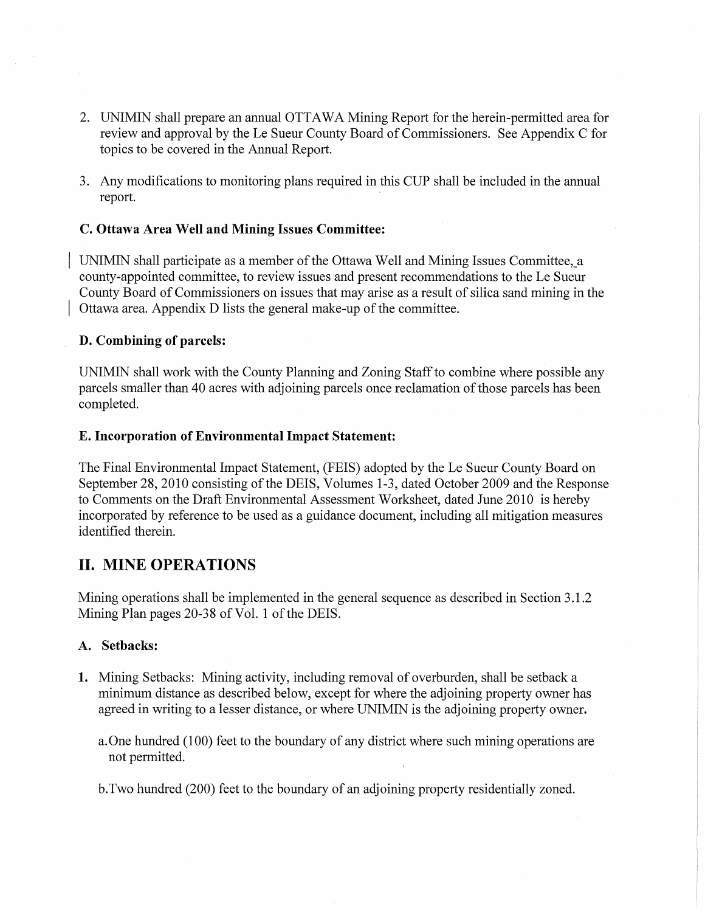- 2. UNIMIN shall prepare an annual OTTAWA Mining Report for the herein-permitted area for review and approval by the Le Sueur County Board of Commissioners. See Appendix C for topics to be covered in the Annual Report.
- 3. Any modifications to monitoring plans required in this CUP shall be included in the annual report.

## **C. Ottawa Area Well and Mining Issues Committee:**

UNIMIN shall participate as a member of the Ottawa Well and Mining Issues Committee, a county-appointed committee, to review issues and present recommendations to the Le Sueur County Board of Commissioners on issues that may arise as a result of silica sand mining in the Ottawa area. Appendix D lists the general make-up of the committee.

### **D. Combining of parcels:**

UNIMIN shall work with the County Planning and Zoning Staff to combine where possible any parcels smaller than 40 acres with adjoining parcels once reclamation of those parcels has been completed.

#### **E. Incorporation of Environmental Impact Statement:**

The Final Environmental Impact Statement, (FEIS) adopted by the Le Sueur County Board on September 28,2010 consisting of the DEIS, Volumes 1-3, dated October 2009 and the Response to Comments on the Draft Environmental Assessment Worksheet, dated June 2010 is hereby incorporated by reference to be used as a guidance document, including all mitigation measures identified therein.

## **II. MINE OPERATIONS**

Mining operations shall be implemented in the general sequence as described in Section 3.1.2 Mining Plan pages 20-38 of Vol. 1 of the DEIS.

#### **A. Setbacks:**

- 1. Mining Setbacks: Mining activity, including removal of overburden, shall be setback a minimum distance as described below, except for where the adjoining property owner has agreed in writing to a lesser distance, or where UNIMIN is the adjoining property owner.
	- a. One hundred (100) feet to the boundary of any district where such mining operations are not permitted.

b.Two hundred (200) feet to the boundary of an adjoining property residentially zoned.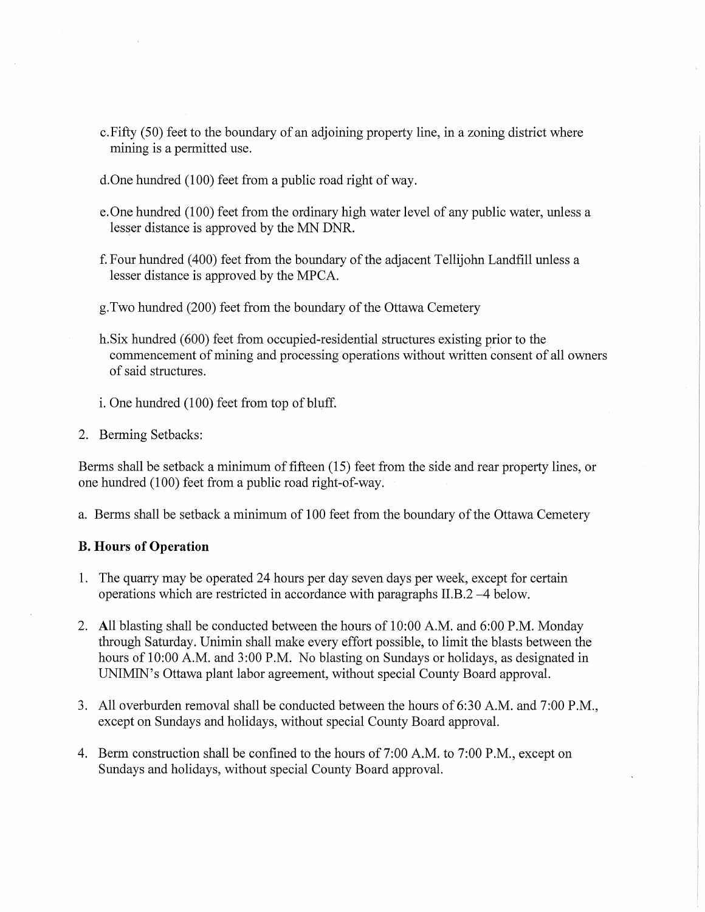- c.Fifty (50) feet to the boundary of an adjoining property line, in a zoning district where mining is a permitted use.
- d.One hundred (100) feet from a public road right of way.
- e. One hundred (100) feet from the ordinary high water level of any public water, unless a lesser distance is approved by the MN DNR.
- f. Four hundred (400) feet from the boundary of the adjacent Tellijohn Landfill unless a lesser distance is approved by the MPCA.
- g.Two hundred (200) feet from the boundary of the Ottawa Cemetery
- h.Six hundred (600) feet from occupied-residential structures existing prior to the commencement of mining and processing operations without written 'consent of all owners of said structures.
- i. One hundred (100) feet from top of bluff.
- 2. Berming Setbacks:

Berms shall be setback a minimum of fifteen (15) feet from the side and rear property lines, or one hundred (100) feet from a public road right-of-way.

a. Berms shall be setback a minimum of 100 feet from the boundary of the Ottawa Cemetery

## **B. Hours of Operation**

- 1. The quarry may be operated 24 hours per day seven days per week, except for certain operations which are restricted in accordance with paragraphs  $II.B.2 -4$  below.
- 2. All blasting shall be conducted between the hours of 10:00 A.M. and 6:00 P.M. Monday through Saturday. Unimin shall make every effort possible, to limit the blasts between the hours of 10:00 A.M. and 3:00 P.M. No blasting on Sundays or holidays, as designated in UNIMIN's Ottawa plant labor agreement, without special County Board approval.
- 3. All overburden removal shall be conducted between the hours of 6:30 A.M. and 7:00 P.M., except on Sundays and holidays, without special County Board approval.
- 4. Berm construction shall be confined to the hours of 7:00 A.M. to 7:00 P.M., except on Sundays and holidays, without special County Board approval.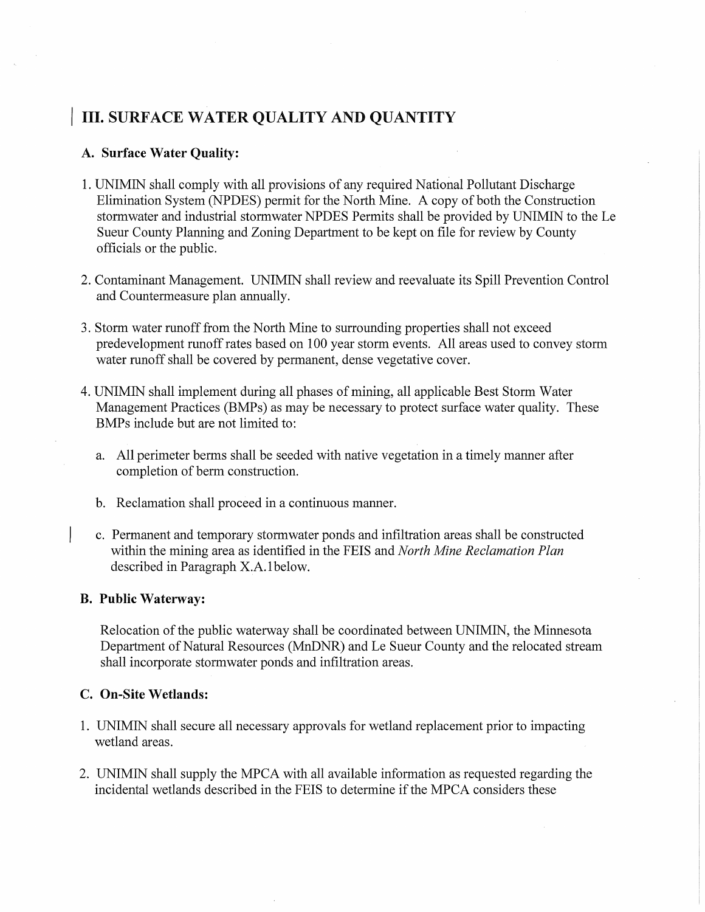## **III.** SURFACE WATER QUALITY AND QUANTITY

## A. **Surface Water Quality:**

- 1. UNIMIN shall comply with all provisions of any required National Pollutant Discharge Elimination System (NPDES) permit for the North Mine. A copy of both the Construction stormwater and industrial stormwater NPDES Permits shall be provided by UNIMIN to the Le Sueur County Planning and Zoning Department to be kept on file for review by County officials or the public.
- 2. Contaminant Management. UNIMIN shall review and reevaluate its Spill Prevention Control and Countermeasure plan annually.
- 3. Storm water runoff from the North Mine to surrounding properties shall not exceed predevelopment runoff rates based on 100 year storm events. All areas used to convey storm water runoff shall be covered by permanent, dense vegetative cover.
- 4. UNIMIN shall implement during all phases of mining, all applicable Best Storm Water Management Practices (BMPs) as may be necessary to protect surface water quality. These BMPs include but are not limited to:
	- a. All perimeter berms shall be seeded with native vegetation in a timely manner after completion of berm construction.
	- b. Reclamation shall proceed in a continuous manner.
	- c. Permanent and temporary stormwater ponds and infiltration areas shall be constructed within the mining area as identified in the FEIS and *North Mine Reclamation Plan*  described in Paragraph X.A.1 below.

### **B. Public Waterway:**

Relocation of the public waterway shall be coordinated between UNIMIN, the Minnesota Department of Natural Resources (MnDNR) and Le Sueur County and the relocated stream shall incorporate stormwater ponds and infiltration areas.

## **c. On-Site Wetlands:**

- 1. UNIMIN shall secure all necessary approvals for wetland replacement prior to impacting wetland areas.
- 2. UNIMIN shall supply the MPCA with all available information as requested regarding the incidental wetlands described in the FEIS to determine if the MPCA considers these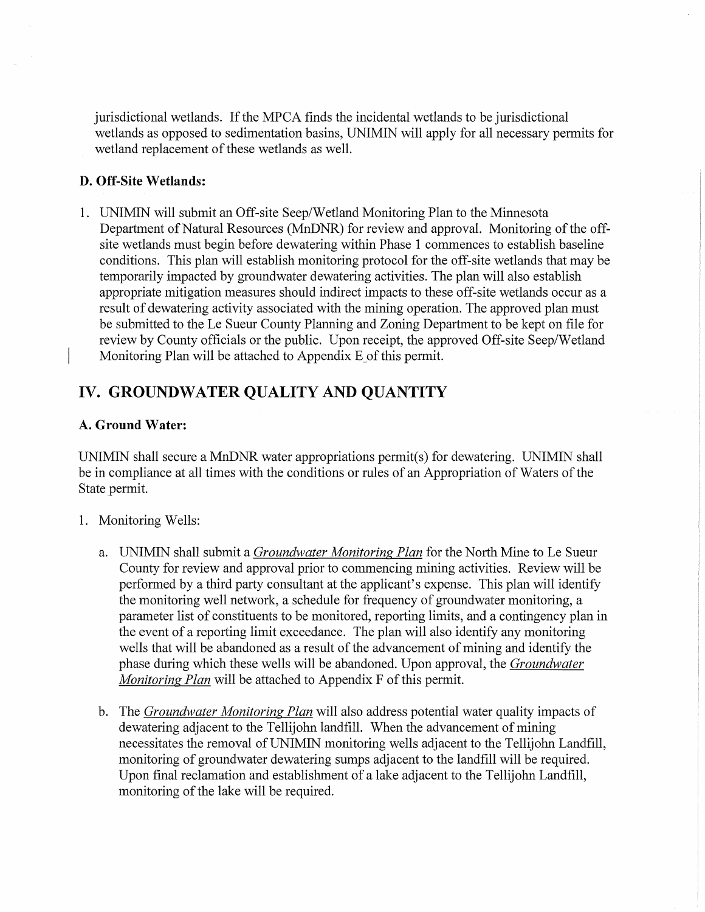jurisdictional wetlands. If the MPCA finds the incidental wetlands to be jurisdictional wetlands as opposed to sedimentation basins, UNIMIN will apply for all necessary permits for wetland replacement of these wetlands as well.

## **D. Off-Site Wetlands:**

1. UNIMIN will submit an Off-site Seep/Wetland Monitoring Plan to the Minnesota Department of Natural Resources (MnDNR) for review and approval. Monitoring of the offsite wetlands must begin before dewatering within Phase 1 commences to establish baseline conditions. This plan will establish monitoring protocol for the off-site wetlands that may be temporarily impacted by groundwater dewatering activities. The plan will also establish appropriate mitigation measures should indirect impacts to these off-site wetlands occur as a result of dewatering activity associated with the mining operation. The approved plan must be submitted to the Le Sueur County Planning and Zoning Department to be kept on file for review by County officials or the public. Upon receipt, the approved Off-site Seep/Wetland Monitoring Plan will be attached to Appendix E of this permit.

## **IV. GROUNDWATER QUALITY AND QUANTITY**

## **A. Ground Water:**

UNIMIN shall secure a MnDNR water appropriations permit( s) for dewatering. UNIMIN shall be in compliance at all times with the conditions or rules of an Appropriation of Waters of the State permit.

- 1. Monitoring Wells:
	- a. UNIMIN shall submit a *Groundwater Monitoring Plan* for the North Mine to Le Sueur County for review and approval prior to commencing mining activities. Review will be performed by a third party consultant at the applicant's expense. This plan will identify the monitoring well network, a schedule for frequency of groundwater monitoring, a parameter list of constituents to be monitored, reporting limits, and a contingency plan in the event of a reporting limit exceedance. The plan will also identify any monitoring wells that will be abandoned as a result of the advancement of mining and identify the phase during which these wells will be abandoned. Upon approval, the *Groundwater Monitoring Plan* will be attached to Appendix F of this permit.
	- b. The *Groundwater Monitoring Plan* will also address potential water quality impacts of dewatering adjacent to the Tellijohn landfill. When the advancement of mining necessitates the removal ofUNIMIN monitoring wells adjacent to the Tellijohn Landfill, monitoring of groundwater dewatering sumps adjacent to the landfill will be required. Upon final reclamation and establishment of a lake adjacent to the Tellijohn Landfill, monitoring of the lake will be required.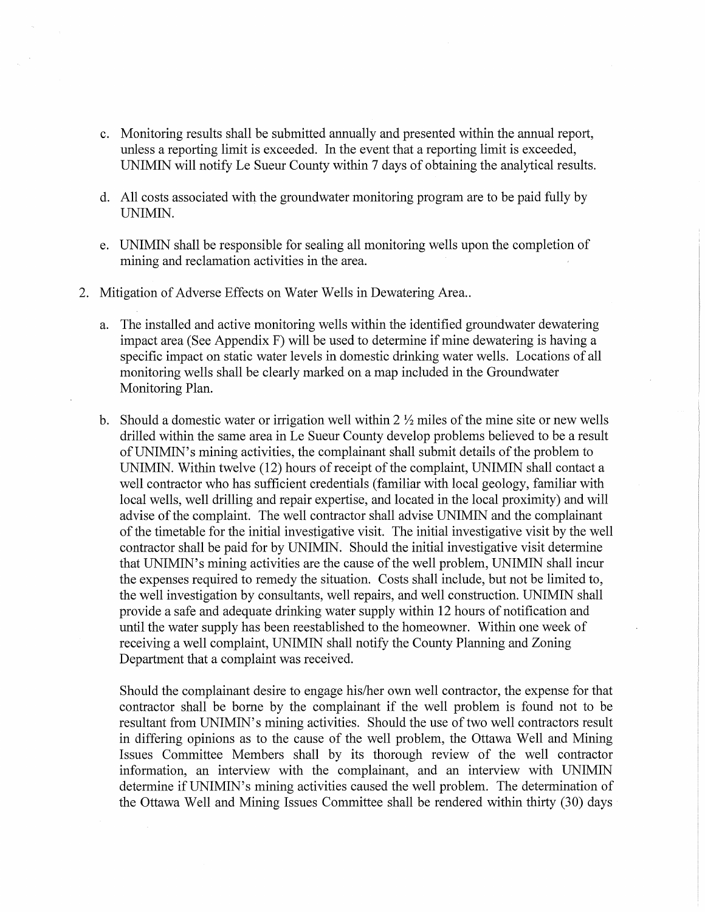- c. Monitoring results shall be submitted annually and presented within the annual report, unless a reporting limit is exceeded. In the event that a reporting limit is exceeded, UNIMIN will notify Le Sueur County within 7 days of obtaining the analytical results.
- d. All costs associated with the groundwater monitoring program are to be paid fully by UNIMIN.
- e. UNIMIN shall be responsible for sealing all monitoring wells upon the completion of mining and reclamation activities in the area.
- 2. Mitigation of Adverse Effects on Water Wells in Dewatering Area..
	- a. The installed and active monitoring wells within the identified groundwater dewatering impact area (See Appendix F) will be used to determine if mine dewatering is having a specific impact on static water levels in domestic drinking water wells. Locations of all monitoring wells shall be clearly marked on a map included in the Groundwater Monitoring Plan.
	- b. Should a domestic water or irrigation well within  $2 \frac{1}{2}$  miles of the mine site or new wells drilled within the same area in Le Sueur County develop problems believed to be a result ofUNIMIN's mining activities, the complainant shall submit details of the problem to UNIMIN. Within twelve (12) hours of receipt of the complaint, UNIMIN shall contact a well contractor who has sufficient credentials (familiar with local geology, familiar with local wells, well drilling and repair expertise, and located in the local proximity) and will advise of the complaint. The well contractor shall advise UNIMIN and the complainant of the timetable for the initial investigative visit. The initial investigative visit by the well contractor shall be paid for by UNIMIN. Should the initial investigative visit determine that UNIMIN's mining activities are the cause of the well problem, UNIMIN shall incur the expenses required to remedy the situation. Costs shall include, but not be limited to, the well investigation by consultants, well repairs, and well construction. UNIMIN shall provide a safe and adequate drinking water supply within 12 hours of notification and until the water supply has been reestablished to the homeowner. Within one week of receiving a well complaint, UNIMIN shall notify the County Planning and Zoning Department that a complaint was received.

Should the complainant desire to engage his/her own well contractor, the expense for that contractor shall be borne by the complainant if the well problem is found not to be resultant from UNIMIN's mining activities. Should the use of two well contractors result in differing opinions as to the cause of the well problem, the Ottawa Well and Mining Issues Committee Members shall by its thorough review of the well contractor information, an interview with the complainant, and an interview with UNIMIN determine ifUNIMIN's mining activities caused the well problem. The determination of the Ottawa Well and Mining Issues Committee shall be rendered within thirty (30) days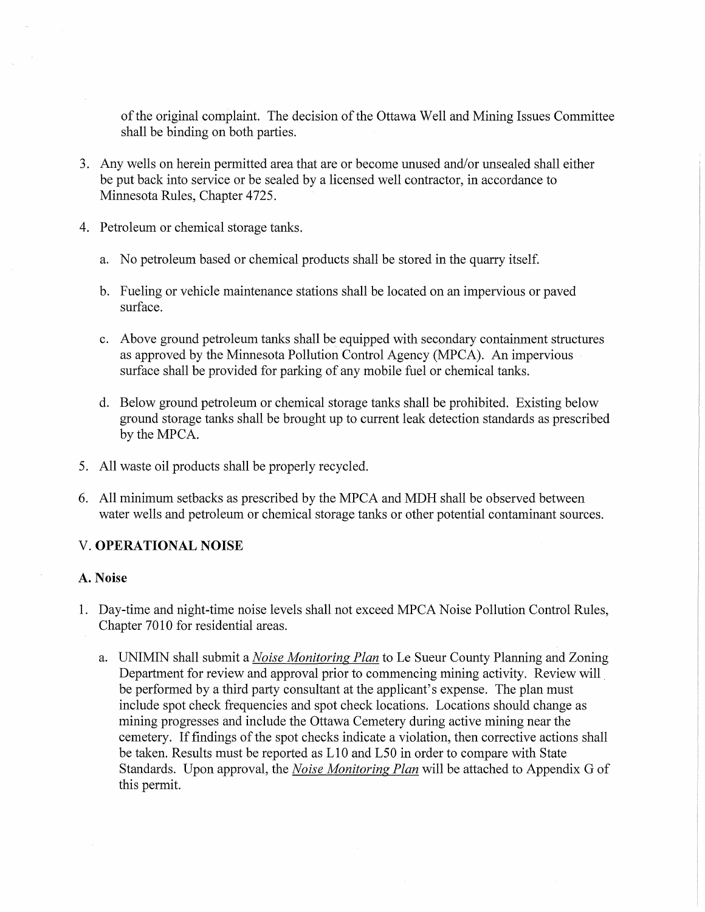of the original complaint. The decision of the Ottawa Well and Mining Issues Committee shall be binding on both parties.

- 3. Any wells on herein permitted area that are or become unused and/or unsealed shall either be put back into service or be sealed by a licensed well contractor, in accordance to Minnesota Rules, Chapter 4725.
- 4. Petroleum or chemical storage tanks.
	- a. No petroleum based or chemical products shall be stored in the quarry itself.
	- b. Fueling or vehicle maintenance stations shall be located on an impervious or paved surface.
	- c. Above ground petroleum tanks shall be equipped with secondary containment structures as approved by the Minnesota Pollution Control Agency (MPCA). An impervious surface shall be provided for parking of any mobile fuel or chemical tanks.
	- d. Below ground petroleum or chemical storage tanks shall be prohibited. Existing below ground storage tanks shall be brought up to current leak detection standards as prescribed by the MPCA.
- 5. All waste oil products shall be properly recycled.
- 6. All minimum setbacks as prescribed by the MPCA and MDH shall be observed between water wells and petroleum or chemical storage tanks or other potential contaminant sources.

## V. **OPERATIONAL NOISE**

## **A. Noise**

- 1. Day-time and night-time noise levels shall not exceed MPCA Noise Pollution Control Rules, Chapter 7010 for residential areas.
	- a. UNIMIN shall submit a *Noise Monitoring Plan* to Le Sueur County Planning and Zoning Department for review and approval prior to commencing mining activity. Review will be performed by a third party consultant at the applicant's expense. The plan must include spot check frequencies and spot check locations. Locations should change as mining progresses and include the Ottawa Cemetery during active mining near the cemetery. If findings of the spot checks indicate a violation, then corrective actions shall be taken. Results must be reported as LI0 and L50 in order to compare with State Standards. Upon approval, the *Noise Monitoring Plan* will be attached to Appendix G of this permit.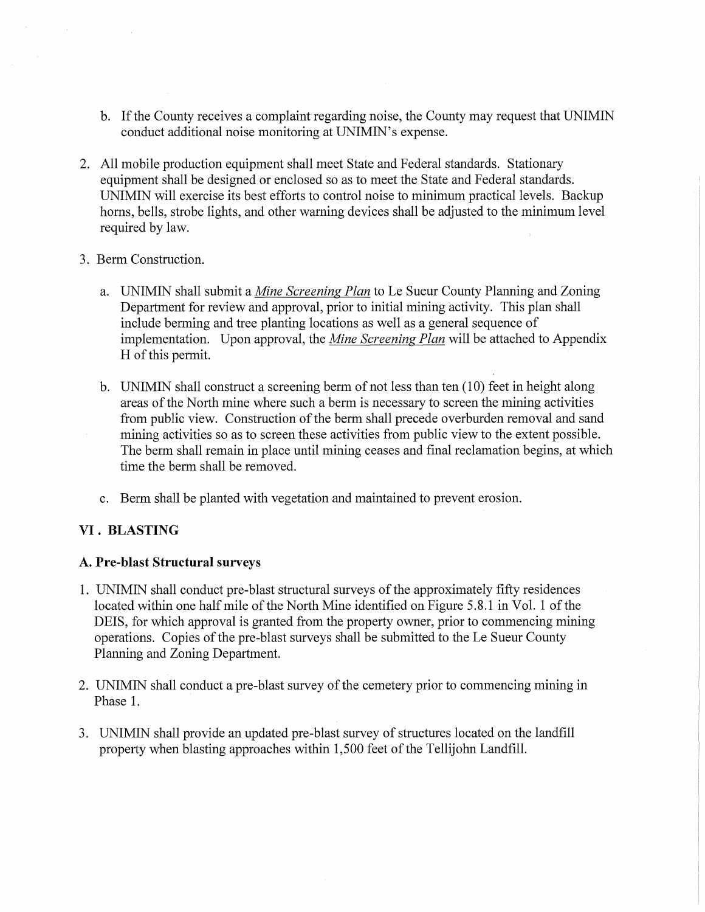- b. If the County receives a complaint regarding noise, the County may request that UNIMIN conduct additional noise monitoring at UNIMIN's expense.
- 2. All mobile production equipment shall meet State and Federal standards. Stationary equipment shall be designed or enclosed so as to meet the State and Federal standards. UNIMIN will exercise its best efforts to control noise to minimum practical levels. Backup horns, bells, strobe lights, and other warning devices shall be adjusted to the minimum level required by law.
- 3. Berm Construction.
	- a. UNIMIN shall submit a *Mine Screening Plan* to Le Sueur County Planning and Zoning Department for review and approval, prior to initial mining activity. This plan shall include berming and tree planting locations as well as a general sequence of implementation. Upon approval, the *Mine Screening Plan* will be attached to Appendix H of this permit.
	- b. UNIMIN shall construct a screening berm of not less than ten (10) feet in height along areas of the North mine where such a berm is necessary to screen the mining activities from public view. Construction of the berm shall precede overburden removal and sand mining activities so as to screen these activities from public view to the extent possible. The berm shall remain in place until mining ceases and final reclamation begins, at which time the berm shall be removed.
	- c. Berm shall be planted with vegetation and maintained to prevent erosion.

## **VI. BLASTING**

### **A. Pre-blast Structural surveys**

- 1. UNIMIN shall conduct pre-blast structural surveys of the approximately fifty residences located within one half mile of the North Mine identified on Figure 5.8.1 in Vol. 1 of the DEIS, for which approval is granted from the property owner, prior to commencing mining operations. Copies of the pre-blast surveys shall be submitted to the Le Sueur County Planning and Zoning Department.
- 2. UNIMIN shall conduct a pre-blast survey of the cemetery prior to commencing mining in Phase 1.
- 3. UNIMIN shall provide an updated pre-blast survey of structures located on the landfill property when blasting approaches within 1,500 feet of the Tellijohn Landfill.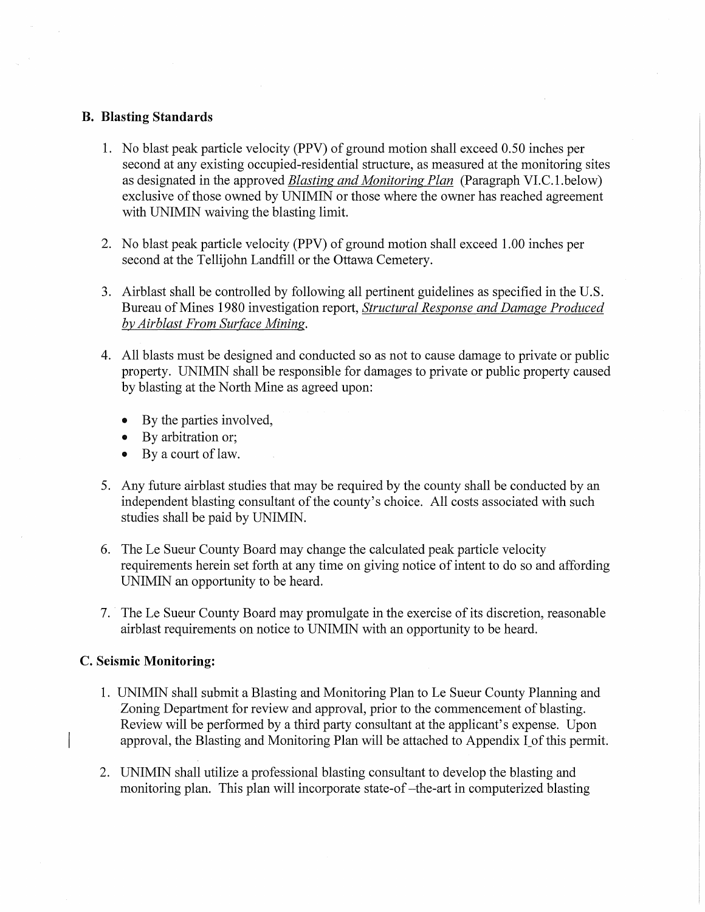### B. Blasting Standards

- 1. No blast peak particle velocity (PPV) of ground motion shall exceed 0.50 inches per second at any existing occupied-residential structure, as measured at the monitoring sites as designated in the approved *Blasting and Monitoring Plan* (Paragraph VI.C.l.below) exclusive of those owned by UNIMIN or those where the owner has reached agreement with UNIMIN waiving the blasting limit.
- 2. No blast peak particle velocity (PPV) of ground motion shall exceed 1.00 inches per second at the Tellijohn Landfill or the Ottawa Cemetery.
- 3. Airblast shall be controlled by following all pertinent guidelines as specified in the U.S. Bureau of Mines 1980 investigation report, *Structural Response and Damage Produced by Airblast From Surface Mining.*
- 4. All blasts must be designed and conducted so as not to cause damage to private or public property. UNIMIN shall be responsible for damages to private or public property caused by blasting at the North Mine as agreed upon:
	- By the parties involved,
	- By arbitration or;
	- By a court of law.
- 5. Any future airblast studies that may be required by the county shall be conducted by an independent blasting consultant of the county's choice. All costs associated with such studies shall be paid by UNIMIN.
- 6. The Le Sueur County Board may change the calculated peak particle velocity requirements herein set forth at any time on giving notice of intent to do so and affording UNIMIN an opportunity to be heard.
- 7. The Le Sueur County Board may promulgate in the exercise of its discretion, reasonable airblast requirements on notice to UNIMIN with an opportunity to be heard.

## c. Seismic Monitoring:

- 1. UNIMIN shall submit a Blasting and Monitoring Plan to Le Sueur County Planning and Zoning Department for review and approval, prior to the commencement of blasting. Review will be performed by a third party consultant at the applicant's expense. Upon approval, the Blasting and Monitoring Plan will be attached to Appendix I of this permit.
- 2. UNIMIN shall utilize a professional blasting consultant to develop the blasting and monitoring plan. This plan will incorporate state-of-the-art in computerized blasting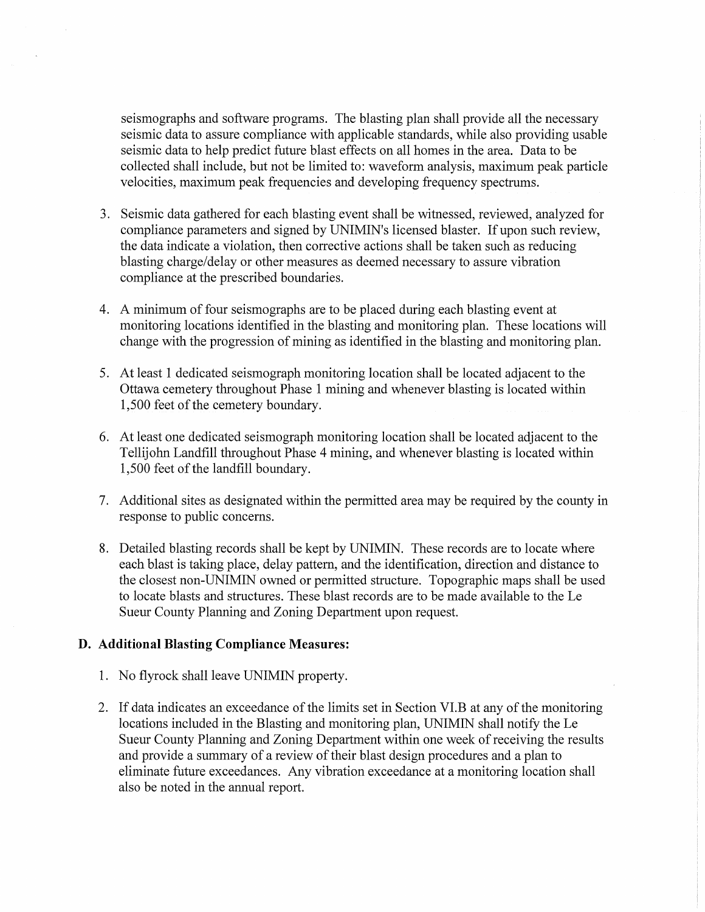seismographs and software programs. The blasting plan shall provide all the necessary seismic data to assure compliance with applicable standards, while also providing usable seismic data to help predict future blast effects on all homes in the area. Data to be collected shall include, but not be limited to: waveform analysis, maximum peak particle velocities, maximum peak frequencies and developing frequency spectrums.

- 3. Seismic data gathered for each blasting event shall be witnessed, reviewed, analyzed for compliance parameters and signed by UNIMIN's licensed blaster. If upon such review, the data indicate a violation, then corrective actions shall be taken such as reducing blasting charge/delay or other measures as deemed necessary to assure vibration compliance at the prescribed boundaries.
- 4. A minimum of four seismographs are to be placed during each blasting event at monitoring locations identified in the blasting and monitoring plan. These locations will change with the progression of mining as identified in the blasting and monitoring plan.
- 5. At least 1 dedicated seismograph monitoring location shall be located adjacent to the Ottawa cemetery throughout Phase 1 mining and whenever blasting is located within 1,500 feet of the cemetery boundary.
- 6. At least one dedicated seismograph monitoring location shall be located adjacent to the Tellijohn Landfill throughout Phase 4 mining, and whenever blasting is located within 1,500 feet of the landfill boundary.
- 7. Additional sites as designated within the permitted area may be required by the county in response to public concerns.
- 8. Detailed blasting records shall be kept by UNIMIN. These records are to locate where each blast is taking place, delay pattern, and the identification, direction and distance to the closest non-UNIMIN owned or permitted structure. Topographic maps shall be used to locate blasts and structures. These blast records are to be made available to the Le Sueur County Planning and Zoning Department upon request.

### **D. Additional Blasting Compliance Measures:**

- 1. No flyrock shall leave UNIMIN property.
- 2. If data indicates an exceedance of the limits set in Section VI.B at any of the monitoring locations included in the Blasting and monitoring plan, UNIMIN shall notify the Le Sueur County Planning and Zoning Department within one week of receiving the results and provide a summary of a review of their blast design procedures and a plan to eliminate future exceedances. Any vibration exceedance at a monitoring location shall also be noted in the annual report.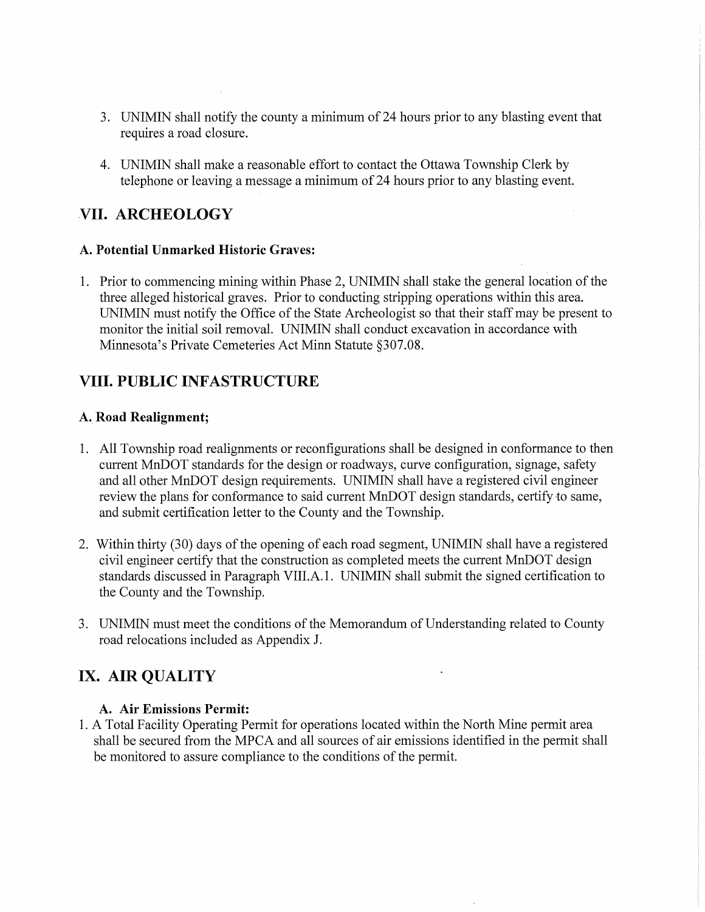- 3. UNIMIN shall notify the county a minimum of 24 hours prior to any blasting event that requires a road closure.
- 4. UNIMIN shall make a reasonable effort to contact the Ottawa Township Clerk by telephone or leaving a message a minimum of 24 hours prior to any blasting event.

## **VII. ARCHEOLOGY**

### **A. Potential Unmarked Historic Graves:**

1. Prior to commencing mining within Phase 2, UNIMIN shall stake the general location of the three alleged historical graves. Prior to conducting stripping operations within this area. UNIMIN must notify the Office of the State Archeologist so that their staff may be present to monitor the initial soil removal. UNIMIN shall conduct excavation in accordance with Minnesota's Private Cemeteries Act Minn Statute §307.0S.

## **VIII. PUBLIC INFASTRUCTURE**

## **A. Road Realignment;**

- 1. All Township road realignments or reconfigurations shall be designed in conformance to then current MnDOT standards for the design or roadways, curve configuration, signage, safety and all other MnDOT design requirements. UNIMIN shall have a registered civil engineer review the plans for conformance to said current MnDOT design standards, certify to same, and submit certification letter to the County and the Township.
- 2. Within thirty (30) days of the opening of each road segment, UNIMIN shall have a registered civil engineer certify that the construction as completed meets the current MnDOT design standards discussed in Paragraph VIII.A.1. UNIMIN shall submit the signed certification to the County and the Township.
- 3. UNIMIN must meet the conditions of the Memorandum of Understanding related to County road relocations included as Appendix J.

## **IX. AIR QUALITY**

### **A. Air Emissions Permit:**

1. A Total Facility Operating Permit for operations located within the North Mine permit area shall be secured from the MPCA and all sources of air emissions identified in the permit shall be monitored to assure compliance to the conditions of the permit.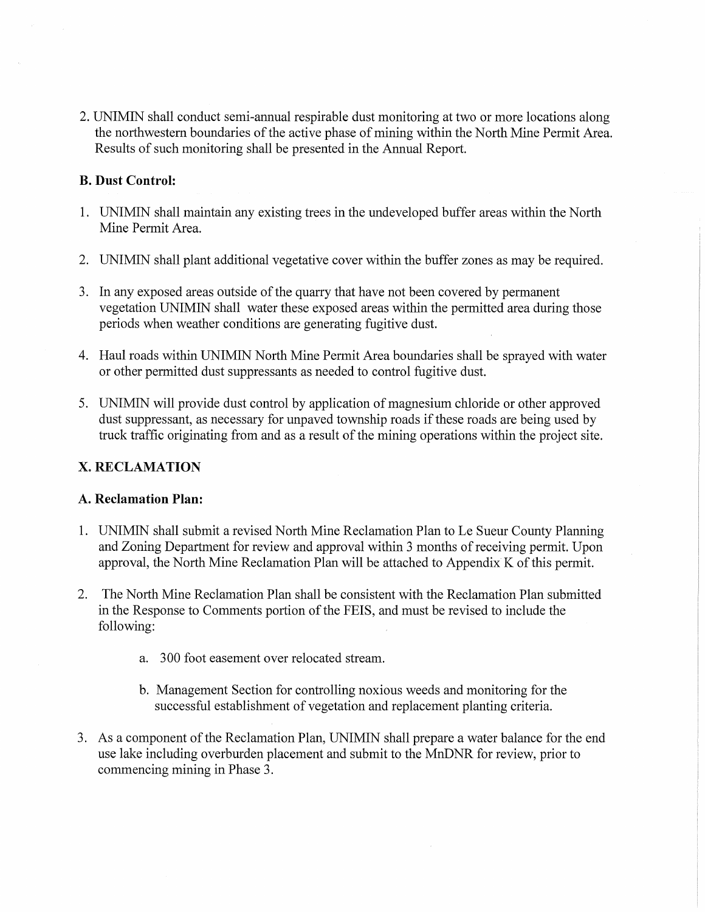2. UNIMIN shall conduct semi-annual respirable dust monitoring at two or more locations along the northwestern boundaries of the active phase of mining within the North Mine Permit Area. Results of such monitoring shall be presented in the Annual Report.

## **B. Dust Control:**

- 1. UNIMIN shall maintain any existing trees in the undeveloped buffer areas within the North Mine Permit Area.
- 2. UNIMIN shall plant additional vegetative cover within the buffer zones as may be required.
- 3. In any exposed areas outside of the quarry that have not been covered by permanent vegetation UNIMIN shall water these exposed areas within the permitted area during those periods when weather conditions are generating fugitive dust.
- 4. Haul roads within UNIMIN North Mine Permit Area boundaries shall be sprayed with water or other permitted dust suppressants as needed to control fugitive dust.
- 5. UNIMIN will provide dust control by application of magnesium chloride or other approved dust suppressant, as necessary for unpaved township roads if these roads are being used by truck traffic originating from and as a result of the mining operations within the project site.

## x. **RECLAMATION**

## **A. Reclamation Plan:**

- 1. UNIMIN shall submit a revised North Mine Reclamation Plan to Le Sueur County Planning and Zoning Department for review and approval within 3 months of receiving permit. Upon approval, the North Mine Reclamation Plan will be attached to Appendix K of this permit.
- 2. The North Mine Reclamation Plan shall be consistent with the Reclamation Plan submitted in the Response to Comments portion of the FEIS, and must be revised to include the following:
	- a. 300 foot easement over relocated stream.
	- b. Management Section for controlling noxious weeds and monitoring for the successful establishment of vegetation and replacement planting criteria.
- 3. As a component of the Reclamation Plan, UNIMIN shall prepare a water balance for the end use lake including overburden placement and submit to the MnDNR for review, prior to commencing mining in Phase 3.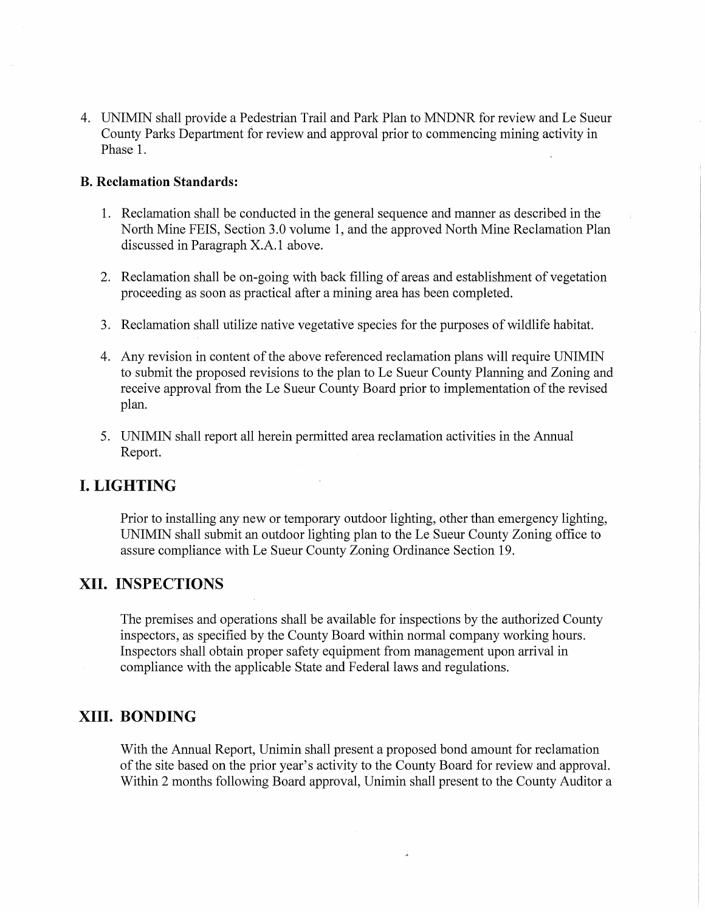4. UNIMIN shall provide a Pedestrian Trail and Park Plan to MNDNR for review and Le Sueur County Parks Department for review and approval prior to commencing mining activity in Phase 1.

#### **B. Reclamation Standards:**

- 1. Reclamation shall be conducted in the general sequence and manner as described in the North Mine FEIS, Section 3.0 volume 1, and the approved North Mine Reclamation Plan discussed in Paragraph X.A.1 above.
- 2. Reclamation shall be on-going with back filling of areas and establishment of vegetation proceeding as soon as practical after a mining area has been completed.
- 3. Reclamation shall utilize native vegetative species for the purposes of wildlife habitat.
- 4. Any revision in content of the above referenced reclamation plans will require UNIMIN to submit the proposed revisions to the plan to Le Sueur County Planning and Zoning and receive approval from the Le Sueur County Board prior to implementation of the revised plan.
- 5. UNIMIN shall report all herein permitted area reclamation activities in the Annual Report.

## **I. LIGHTING**

Prior to installing any new or temporary outdoor lighting, other than emergency lighting, UNIMIN shall submit an outdoor lighting plan to the Le Sueur County Zoning office to assure compliance with Le Sueur County Zoning Ordinance Section 19.

## **XII. INSPECTIONS**

The premises and operations shall be available for inspections by the authorized County inspectors, as specified by the County Board within normal company working hours. Inspectors shall obtain proper safety equipment from management upon arrival in compliance with the applicable State and Federal laws and regulations.

## **XIII. BONDING**

With the Annual Report, Unimin shall present a proposed bond amount for reclamation of the site based on the prior year's activity to the County Board for review and approval. Within 2 months following Board approval, Unimin shall present to the County Auditor a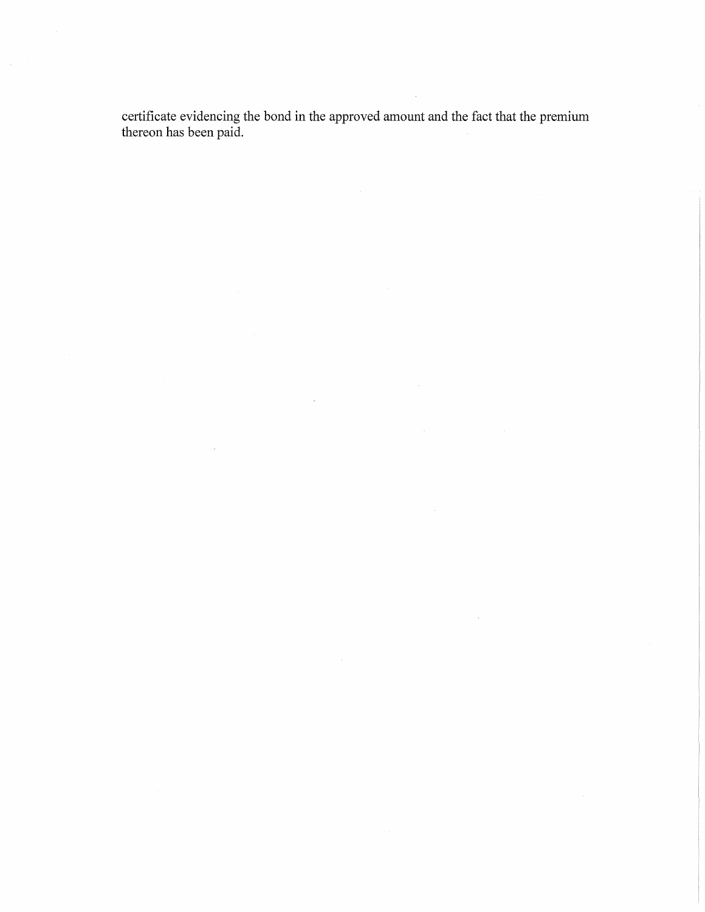certificate evidencing the bond in the approved amount and the fact that the premium thereon has been paid.

 $\sim$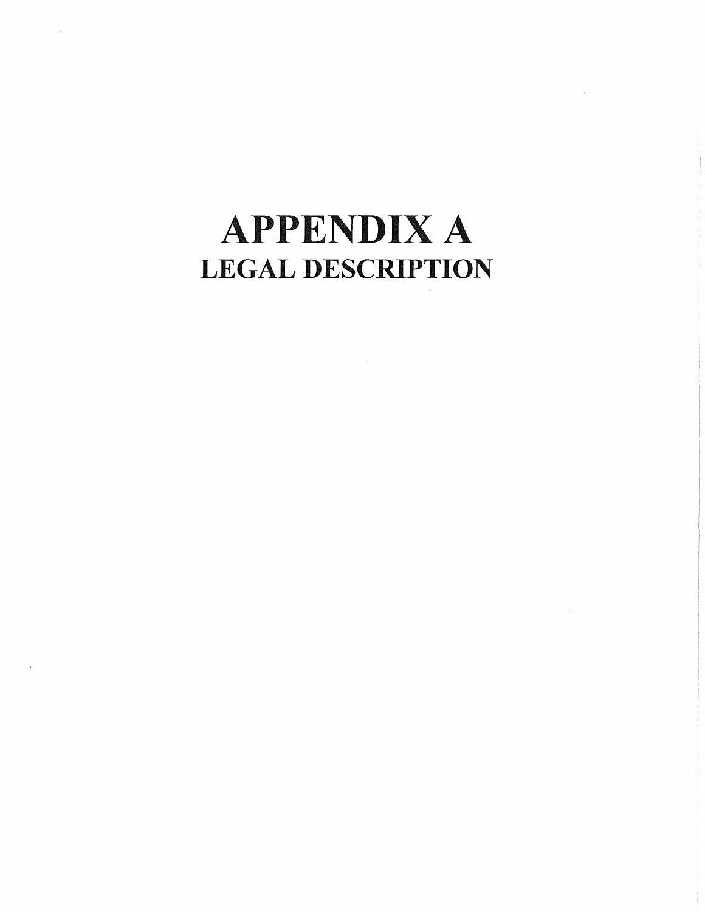# **APPENDIX A** LEGAL DESCRIPTION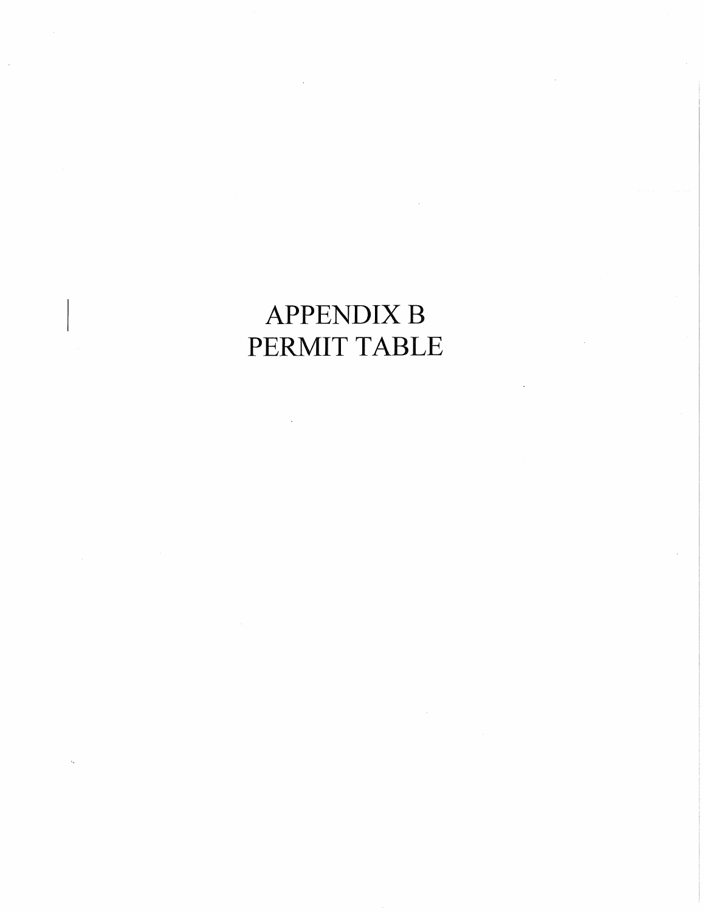## APPENDIX B PERMIT TABLE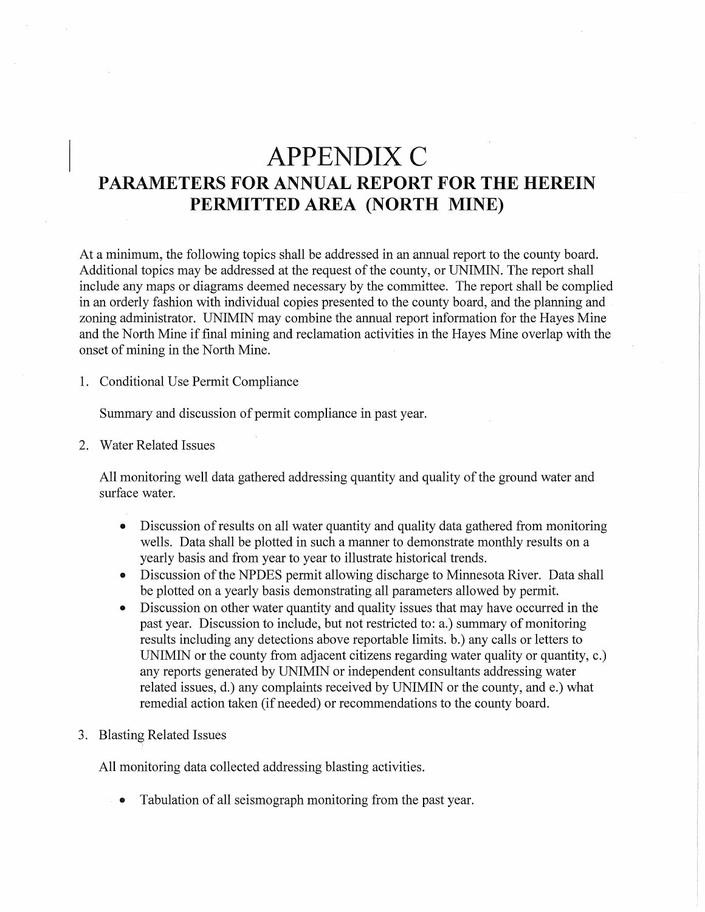## **APPENDIX C** PARAMETERS FOR ANNUAL REPORT FOR THE HEREIN PERMITTED AREA (NORTH MINE)

At a minimum, the following topics shall be addressed in an annual report to the county board. Additional topics may be addressed at the request of the county, or UNIMIN. The report shall include any maps or diagrams deemed necessary by the committee. The report shall be complied in an orderly fashion with individual copies presented to the county board, and the planning and zoning administrator. UNIMIN may combine the annual report information for the Hayes Mine and the North Mine if final mining and reclamation activities in the Hayes Mine overlap with the onset of mining in the North Mine.

1. Conditional Use Permit Compliance

Summary and discussion of permit compliance in past year.

2. Water Related Issues

All monitoring well data gathered addressing quantity and quality of the ground water and surface water.

- .. Discussion of results on all water quantity and quality data gathered from monitoring wells. Data shall be plotted in such a manner to demonstrate monthly results on a yearly basis and from year to year to illustrate historical trends.
- .. Discussion of the NPDES permit allowing discharge to Minnesota River. Data shall be plotted on a yearly basis demonstrating all parameters allowed by permit.
- .. Discussion on other water quantity and quality issues that may have occurred in the past year. Discussion to include, but not restricted to: a.) summary of monitoring results including any detections above reportable limits. b.) any calls or letters to UNIMIN or the county from adjacent citizens regarding water quality or quantity, c.) any reports generated by UNIMIN or independent consultants addressing water related issues, d.) any complaints received by UNIMIN or the county, and e.) what remedial action taken (if needed) or recommendations to the county board.
- 3. Blasting Related Issues

All monitoring data collected addressing blasting activities.

Tabulation of all seismograph monitoring from the past year.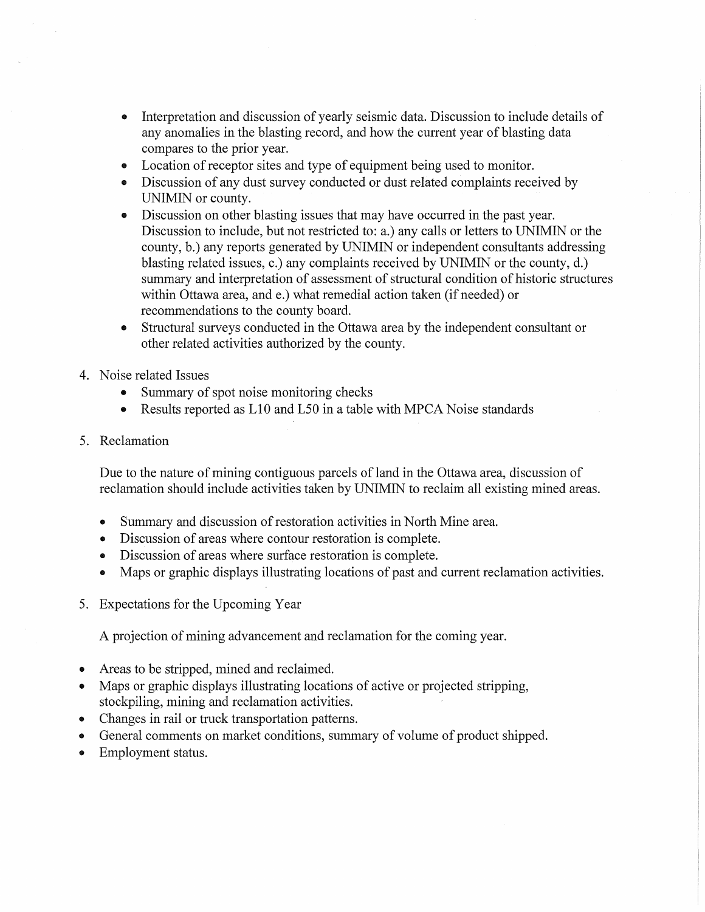- Interpretation and discussion of yearly seismic data. Discussion to include details of any anomalies in the blasting record, and how the current year of blasting data compares to the prior year.
- Location of receptor sites and type of equipment being used to monitor.
- Discussion of any dust survey conducted or dust related complaints received by UNIMIN or county.
- Discussion on other blasting issues that may have occurred in the past year. Discussion to include, but not restricted to: a.) any calls or letters to UNIMIN or the county, b.) any reports generated by UNIMIN or independent consultants addressing blasting related issues, c.) any complaints received by UNIMIN or the county, d.) summary and interpretation of assessment of structural condition of historic structures within Ottawa area, and e.) what remedial action taken (if needed) or recommendations to the county board.
- Structural surveys conducted in the Ottawa area by the independent consultant or other related activities authorized by the county.
- 4. Noise related Issues
	- Summary of spot noise monitoring checks
	- Results reported as L10 and L50 in a table with MPCA Noise standards
- 5. Reclamation

Due to the nature of mining contiguous parcels of land in the Ottawa area, discussion of reclamation should include activities taken by UNIMIN to reclaim all existing mined areas.

- Summary and discussion of restoration activities in North Mine area.
- Discussion of areas where contour restoration is complete.
- Discussion of areas where surface restoration is complete.
- Maps or graphic displays illustrating locations of past and current reclamation activities.
- 5. Expectations for the Upcoming Year

A projection of mining advancement and reclamation for the coming year.

- Areas to be stripped, mined and reclaimed.
- Maps or graphic displays illustrating locations of active or projected stripping, stockpiling, mining and reclamation activities.
- Changes in rail or truck transportation patterns.
- General comments on market conditions, summary of volume of product shipped.
- Employment status.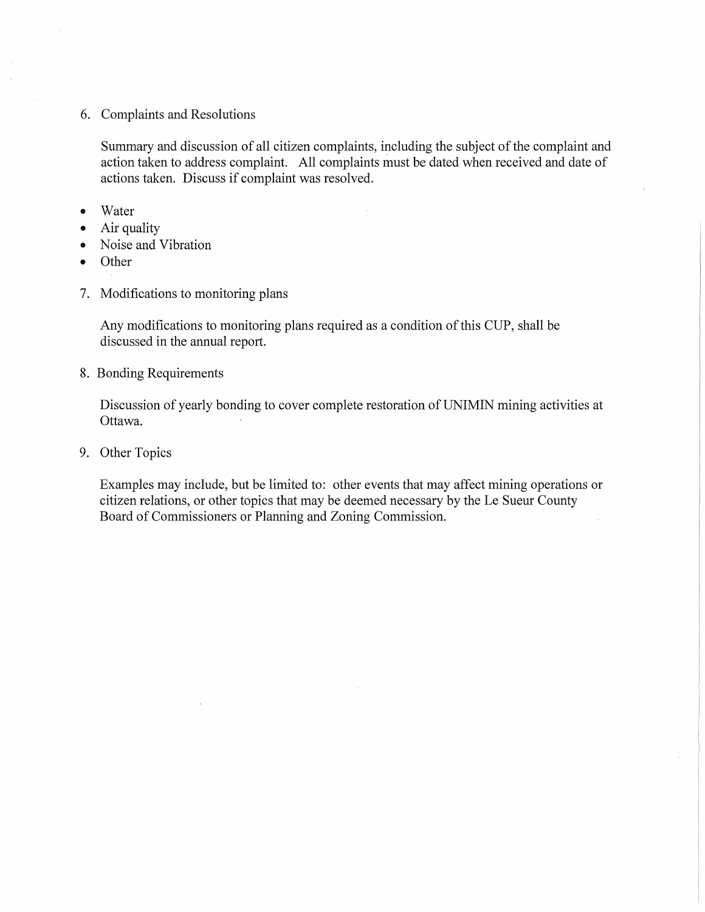6. Complaints and Resolutions

Summary and discussion of all citizen complaints, including the subject of the complaint and action taken to address complaint. All complaints must be dated when received and date of actions taken. Discuss if complaint was resolved.

- .. Water
- Air quality
- Noise and Vibration
- Other
- 7. Modifications to monitoring plans

Any modifications to monitoring plans required as a condition of this CUP, shall be discussed in the annual report.

8. Bonding Requirements

Discussion of yearly bonding to cover complete restoration of UNIMIN mining activities at Ottawa.

9. Other Topics

Examples may include, but be limited to: other events that may affect mining operations or citizen relations, or other topics that may be deemed necessary by the Le Sueur County Board of Commissioners or Planning and Zoning Commission.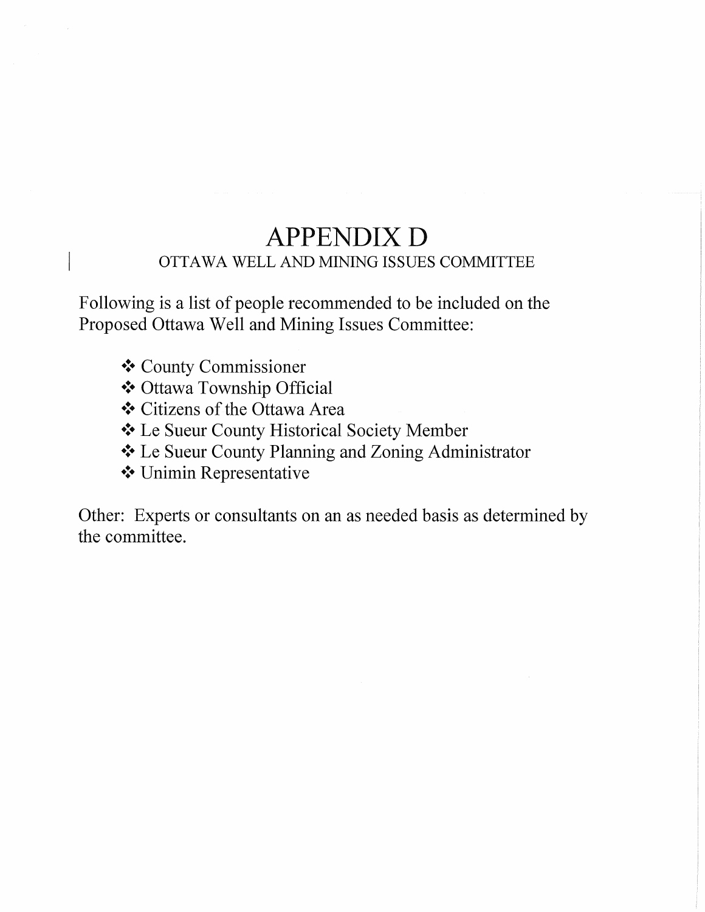## **APPENDIX D** OTTAWA WELL AND MINING ISSUES COMMITTEE

Following is a list of people recommended to be included on the Proposed Ottawa Well and Mining Issues Committee:

- ❖ County Commissioner
- .:. Ottawa Township Official
- .:. Citizens of the Ottawa Area
- .:. Le Sueur County Historical Society Member
- ❖ Le Sueur County Planning and Zoning Administrator
- .:. Unimin Representative

Other: Experts or consultants on an as needed basis as determined by the committee.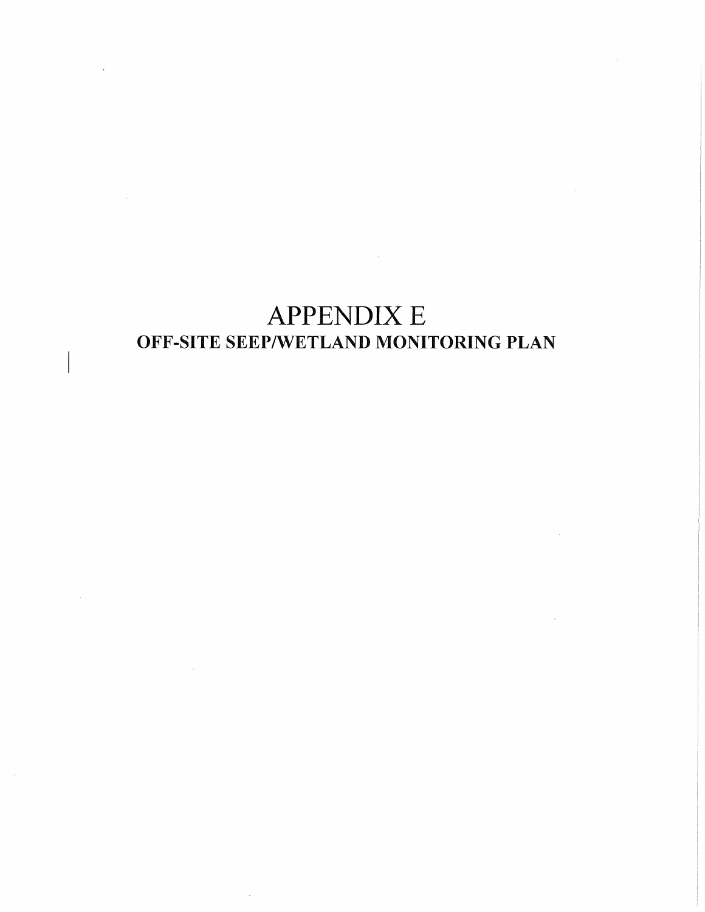## APPENDIX E OFF-SITE SEEP/WETLAND MONITORING PLAN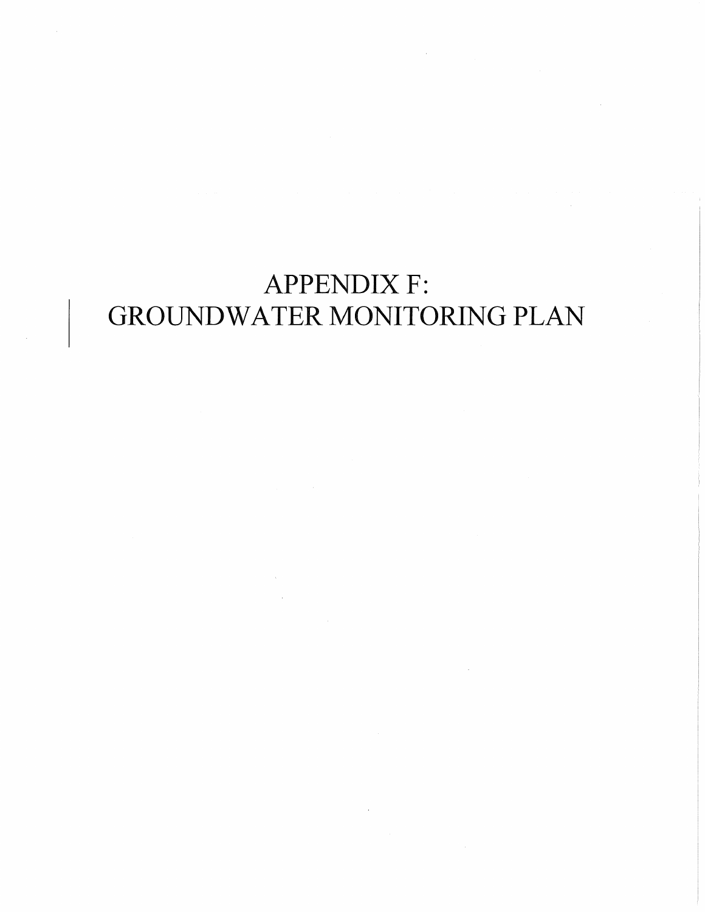# **APPENDIX F:** GROUNDWATER MONITORING PLAN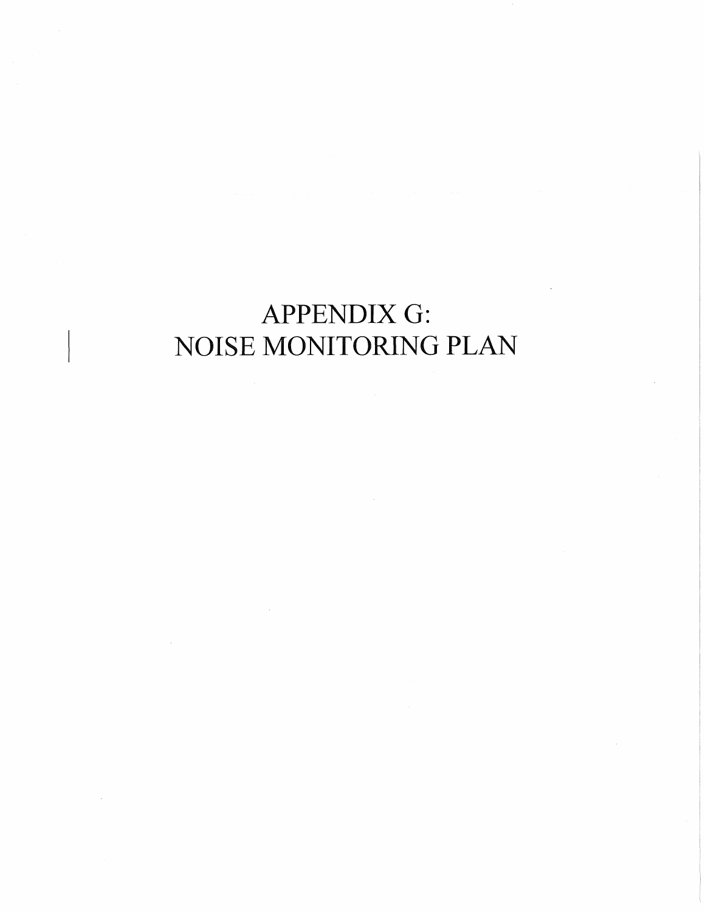## APPENDIX G: NOISE MONITORING PLAN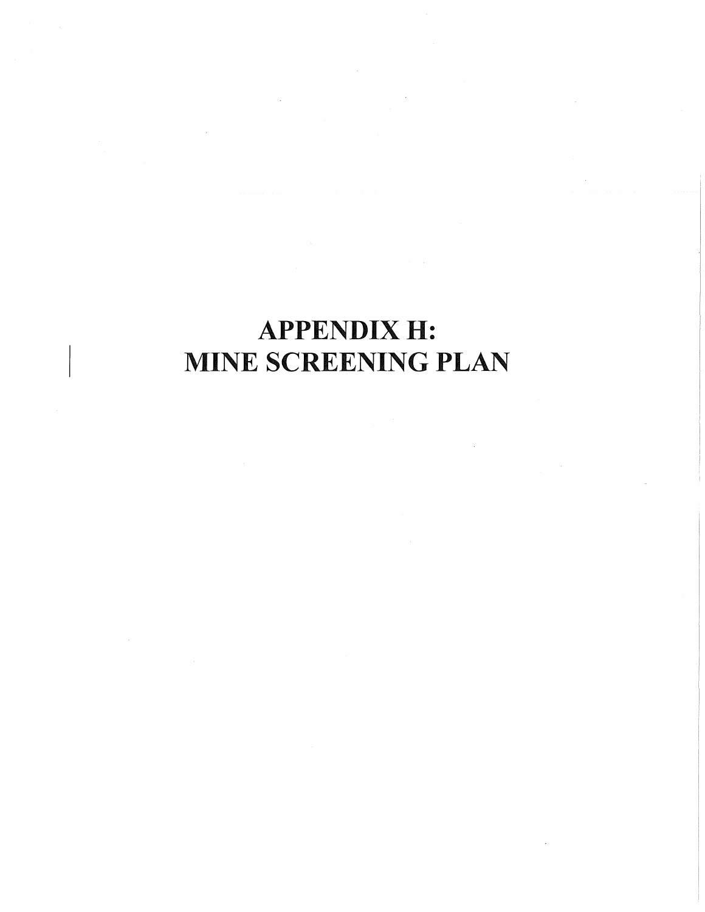## APPENDIX H: MINE SCREENING PLAN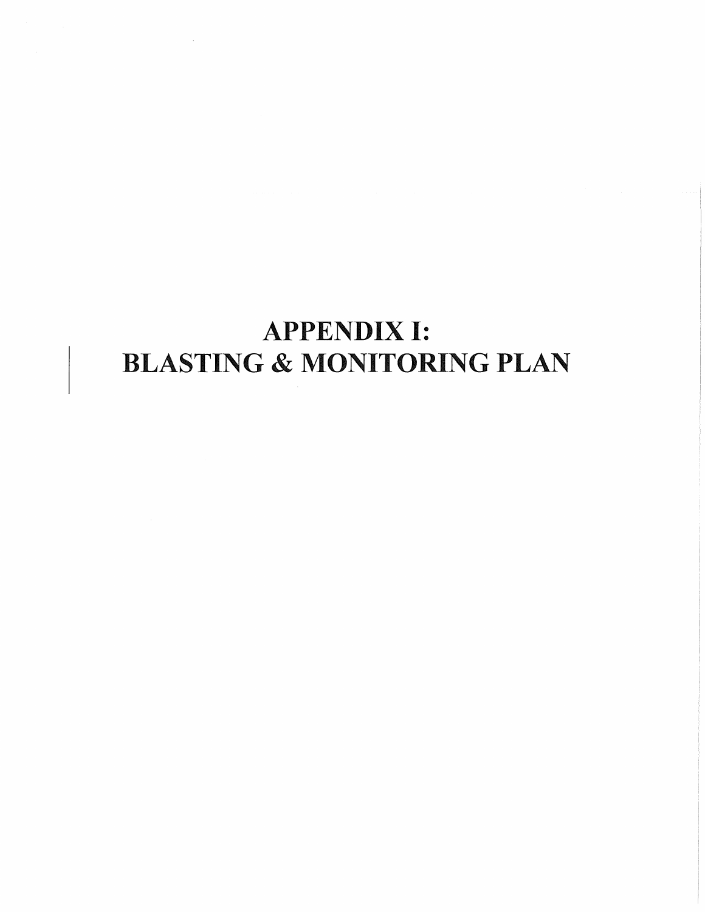# APPENDIX I: BLASTING & MONITORING PLAN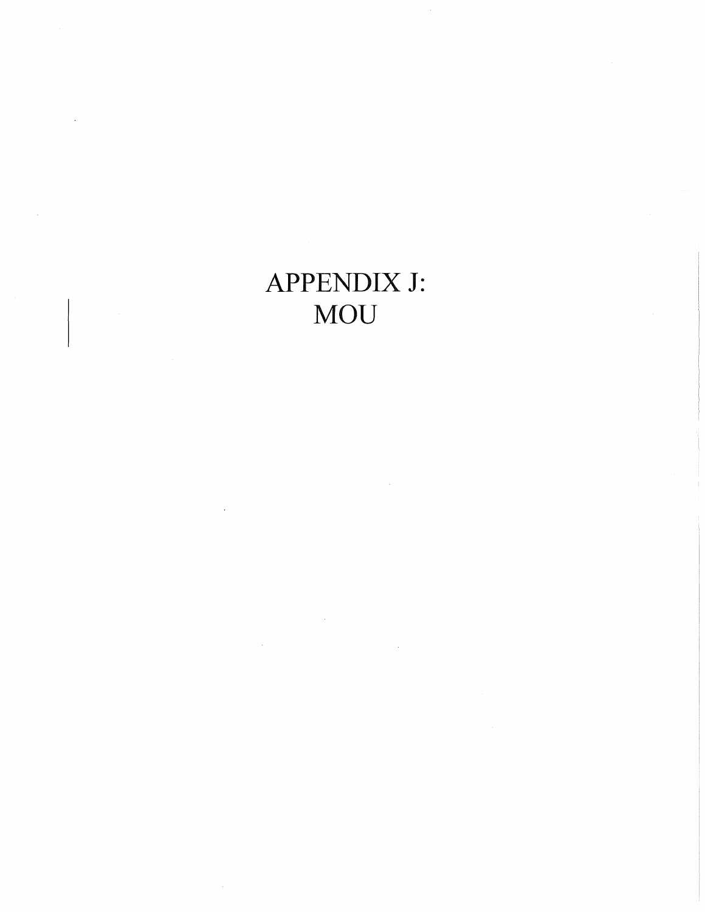## APPENDIX J: **MOU**